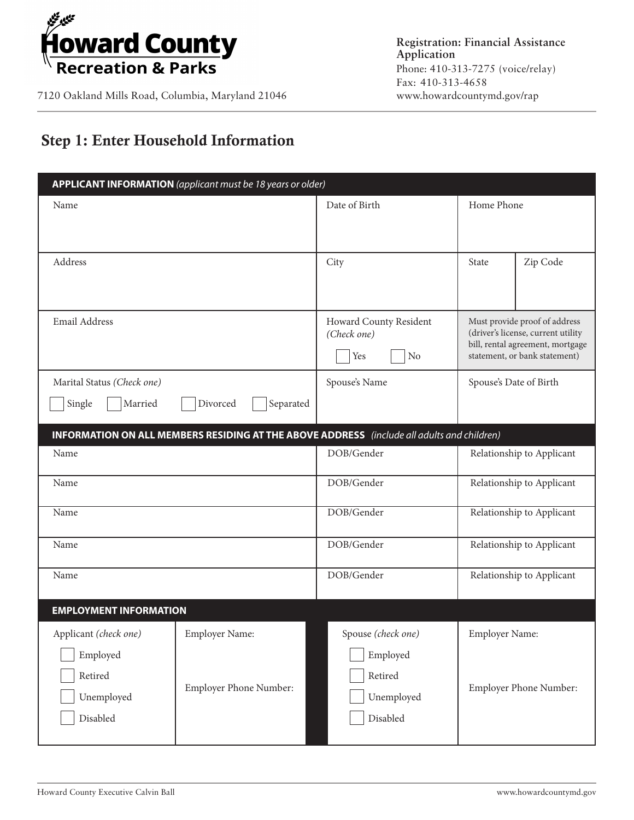

7120 Oakland Mills Road, Columbia, Maryland 21046

# Step 1: Enter Household Information

| APPLICANT INFORMATION (applicant must be 18 years or older)                                       |                                          |                                                         |                                                                                                                                          |  |
|---------------------------------------------------------------------------------------------------|------------------------------------------|---------------------------------------------------------|------------------------------------------------------------------------------------------------------------------------------------------|--|
| Name                                                                                              |                                          | Date of Birth                                           | Home Phone                                                                                                                               |  |
|                                                                                                   |                                          |                                                         |                                                                                                                                          |  |
| Address                                                                                           |                                          | City                                                    | Zip Code<br>State                                                                                                                        |  |
| Email Address                                                                                     |                                          | Howard County Resident<br>(Check one)<br>Yes<br>No      | Must provide proof of address<br>(driver's license, current utility<br>bill, rental agreement, mortgage<br>statement, or bank statement) |  |
| Marital Status (Check one)                                                                        |                                          | Spouse's Name                                           | Spouse's Date of Birth                                                                                                                   |  |
| Single<br>Married                                                                                 | Separated<br>Divorced                    |                                                         |                                                                                                                                          |  |
| <b>INFORMATION ON ALL MEMBERS RESIDING AT THE ABOVE ADDRESS</b> (include all adults and children) |                                          |                                                         |                                                                                                                                          |  |
| Name                                                                                              |                                          | DOB/Gender                                              | Relationship to Applicant                                                                                                                |  |
| Name                                                                                              |                                          | DOB/Gender                                              | Relationship to Applicant                                                                                                                |  |
| Name                                                                                              |                                          | DOB/Gender                                              | Relationship to Applicant                                                                                                                |  |
| Name                                                                                              |                                          | DOB/Gender                                              | Relationship to Applicant                                                                                                                |  |
| Name                                                                                              |                                          | DOB/Gender                                              | Relationship to Applicant                                                                                                                |  |
| <b>EMPLOYMENT INFORMATION</b>                                                                     |                                          |                                                         |                                                                                                                                          |  |
| Applicant (check one)<br>Employed<br>Retired<br>Unemployed                                        | Employer Name:<br>Employer Phone Number: | Spouse (check one)<br>Employed<br>Retired<br>Unemployed | Employer Name:<br>Employer Phone Number:                                                                                                 |  |
| Disabled                                                                                          |                                          | Disabled                                                |                                                                                                                                          |  |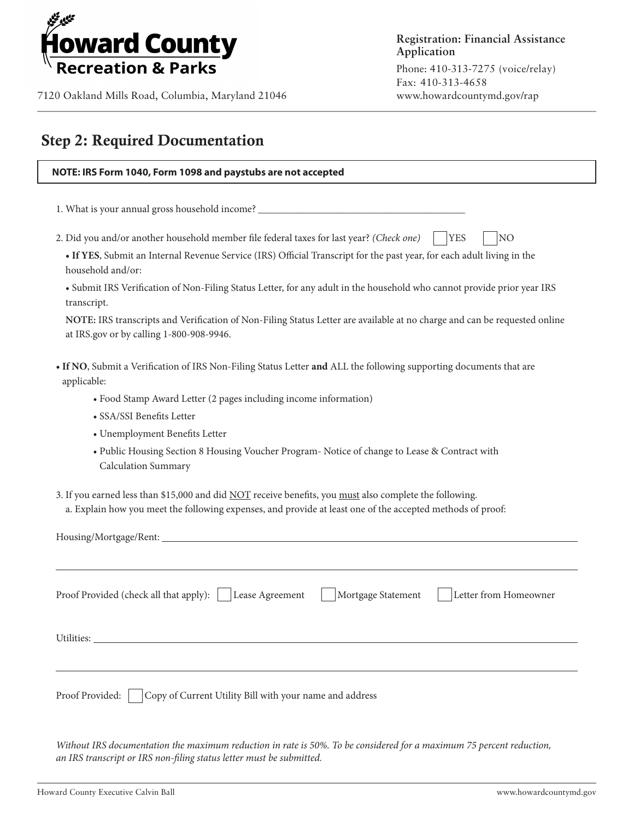

### Step 2: Required Documentation

| NOTE: IRS Form 1040, Form 1098 and paystubs are not accepted                                                                                                                                                          |  |  |
|-----------------------------------------------------------------------------------------------------------------------------------------------------------------------------------------------------------------------|--|--|
|                                                                                                                                                                                                                       |  |  |
| 1. What is your annual gross household income? _________________________________                                                                                                                                      |  |  |
| 2. Did you and/or another household member file federal taxes for last year? (Check one)<br><b>YES</b><br>NO                                                                                                          |  |  |
| • If YES, Submit an Internal Revenue Service (IRS) Official Transcript for the past year, for each adult living in the<br>household and/or:                                                                           |  |  |
| • Submit IRS Verification of Non-Filing Status Letter, for any adult in the household who cannot provide prior year IRS<br>transcript.                                                                                |  |  |
| NOTE: IRS transcripts and Verification of Non-Filing Status Letter are available at no charge and can be requested online<br>at IRS.gov or by calling 1-800-908-9946.                                                 |  |  |
| . If NO, Submit a Verification of IRS Non-Filing Status Letter and ALL the following supporting documents that are<br>applicable:                                                                                     |  |  |
| • Food Stamp Award Letter (2 pages including income information)                                                                                                                                                      |  |  |
| · SSA/SSI Benefits Letter                                                                                                                                                                                             |  |  |
| • Unemployment Benefits Letter                                                                                                                                                                                        |  |  |
| • Public Housing Section 8 Housing Voucher Program- Notice of change to Lease & Contract with<br>Calculation Summary                                                                                                  |  |  |
| 3. If you earned less than \$15,000 and did NOT receive benefits, you must also complete the following.<br>a. Explain how you meet the following expenses, and provide at least one of the accepted methods of proof: |  |  |
|                                                                                                                                                                                                                       |  |  |
|                                                                                                                                                                                                                       |  |  |
| Letter from Homeowner<br>Proof Provided (check all that apply):<br>Lease Agreement<br>Mortgage Statement                                                                                                              |  |  |
|                                                                                                                                                                                                                       |  |  |
|                                                                                                                                                                                                                       |  |  |
| Copy of Current Utility Bill with your name and address<br>Proof Provided:                                                                                                                                            |  |  |
|                                                                                                                                                                                                                       |  |  |

*Without IRS documentation the maximum reduction in rate is 50%. To be considered for a maximum 75 percent reduction, an IRS transcript or IRS non-filing status letter must be submitted.*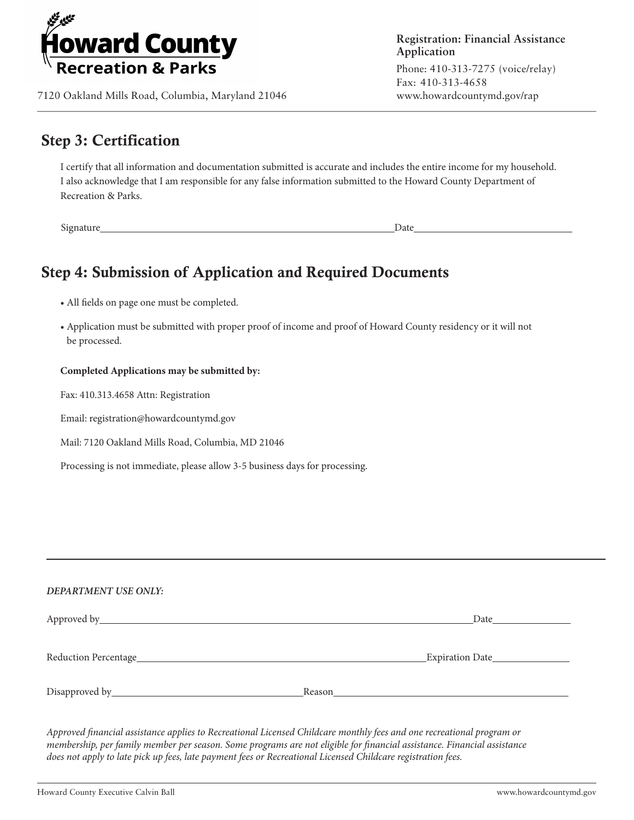

7120 Oakland Mills Road, Columbia, Maryland 21046

### Step 3: Certification

I certify that all information and documentation submitted is accurate and includes the entire income for my household. I also acknowledge that I am responsible for any false information submitted to the Howard County Department of Recreation & Parks.

Signature Date

## Step 4: Submission of Application and Required Documents

• All fields on page one must be completed.

• Application must be submitted with proper proof of income and proof of Howard County residency or it will not be processed.

#### **Completed Applications may be submitted by:**

Fax: 410.313.4658 Attn: Registration

Email: registration@howardcountymd.gov

Mail: 7120 Oakland Mills Road, Columbia, MD 21046

Processing is not immediate, please allow 3-5 business days for processing.

#### *DEPARTMENT USE ONLY:*

|                      | Date<br><b>Committee Committee</b> |
|----------------------|------------------------------------|
| Reduction Percentage | Expiration Date                    |
|                      | Reason                             |

*Approved financial assistance applies to Recreational Licensed Childcare monthly fees and one recreational program or membership, per family member per season. Some programs are not eligible for financial assistance. Financial assistance does not apply to late pick up fees, late payment fees or Recreational Licensed Childcare registration fees.*